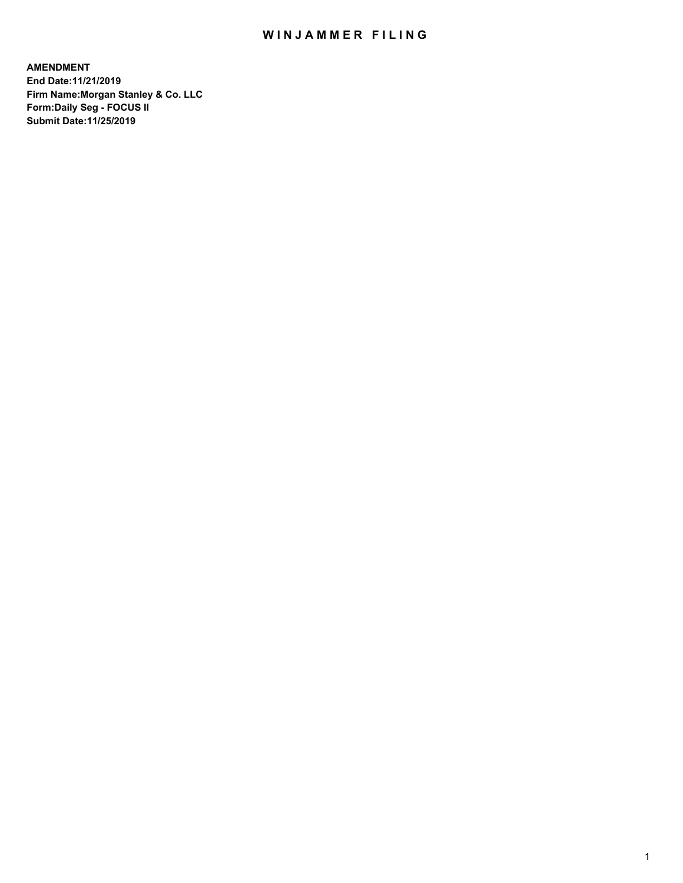## WIN JAMMER FILING

**AMENDMENT End Date:11/21/2019 Firm Name:Morgan Stanley & Co. LLC Form:Daily Seg - FOCUS II Submit Date:11/25/2019**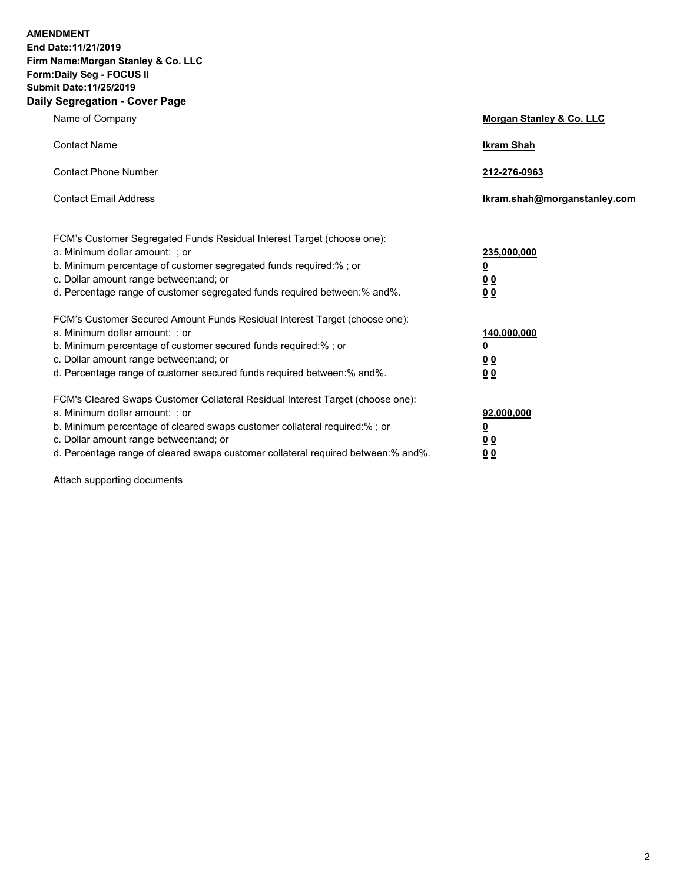**AMENDMENT End Date:11/21/2019 Firm Name:Morgan Stanley & Co. LLC Form:Daily Seg - FOCUS II Submit Date:11/25/2019 Daily Segregation - Cover Page**

| Name of Company                                                                                                                                                                                                                                                                                                                | Morgan Stanley & Co. LLC                               |
|--------------------------------------------------------------------------------------------------------------------------------------------------------------------------------------------------------------------------------------------------------------------------------------------------------------------------------|--------------------------------------------------------|
| <b>Contact Name</b>                                                                                                                                                                                                                                                                                                            | <b>Ikram Shah</b>                                      |
| <b>Contact Phone Number</b>                                                                                                                                                                                                                                                                                                    | 212-276-0963                                           |
| <b>Contact Email Address</b>                                                                                                                                                                                                                                                                                                   | Ikram.shah@morganstanley.com                           |
| FCM's Customer Segregated Funds Residual Interest Target (choose one):<br>a. Minimum dollar amount: ; or<br>b. Minimum percentage of customer segregated funds required:% ; or<br>c. Dollar amount range between: and; or<br>d. Percentage range of customer segregated funds required between:% and%.                         | 235,000,000<br><u>0</u><br><u>0 0</u><br>0 Q           |
| FCM's Customer Secured Amount Funds Residual Interest Target (choose one):<br>a. Minimum dollar amount: ; or<br>b. Minimum percentage of customer secured funds required:% ; or<br>c. Dollar amount range between: and; or<br>d. Percentage range of customer secured funds required between:% and%.                           | 140,000,000<br><u>0</u><br><u>00</u><br>0 <sup>0</sup> |
| FCM's Cleared Swaps Customer Collateral Residual Interest Target (choose one):<br>a. Minimum dollar amount: ; or<br>b. Minimum percentage of cleared swaps customer collateral required:% ; or<br>c. Dollar amount range between: and; or<br>d. Percentage range of cleared swaps customer collateral required between:% and%. | 92,000,000<br><u>0</u><br><u>00</u><br>0 <sup>0</sup>  |

Attach supporting documents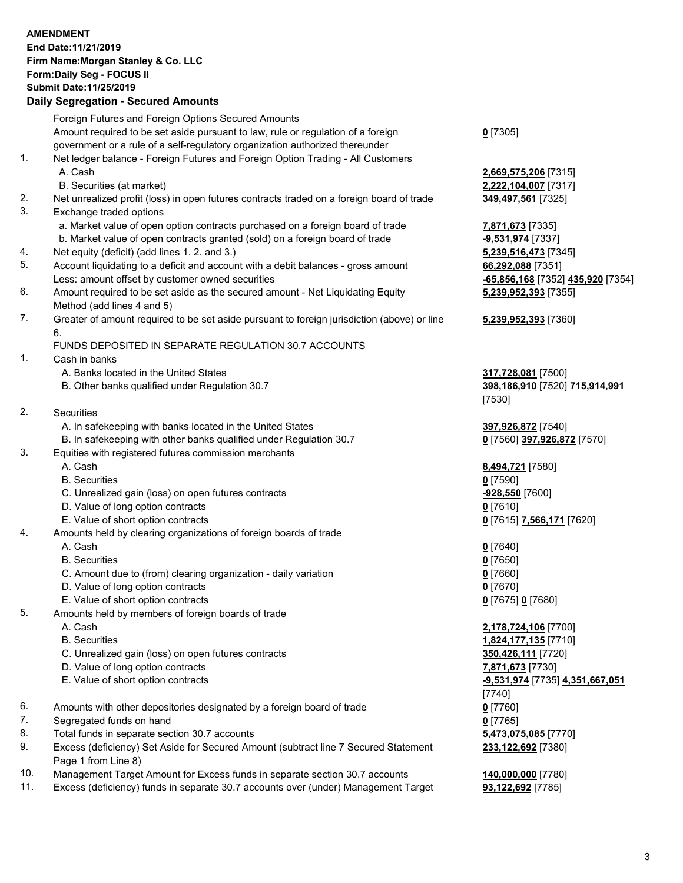#### **AMENDMENT End Date:11/21/2019 Firm Name:Morgan Stanley & Co. LLC Form:Daily Seg - FOCUS II**

## **Submit Date:11/25/2019**

## **Daily Segregation - Secured Amounts**

Foreign Futures and Foreign Options Secured Amounts Amount required to be set aside pursuant to law, rule or regulation of a foreign government or a rule of a self-regulatory organization authorized thereunder 1. Net ledger balance - Foreign Futures and Foreign Option Trading - All Customers A. Cash **2,669,575,206** [7315] B. Securities (at market) **2,222,104,007** [7317] 2. Net unrealized profit (loss) in open futures contracts traded on a foreign board of trade **349,497,561** [7325] 3. Exchange traded options a. Market value of open option contracts purchased on a foreign board of trade **7,871,673** [7335] b. Market value of open contracts granted (sold) on a foreign board of trade **-9,531,974** [7337] 4. Net equity (deficit) (add lines 1. 2. and 3.) **5,239,516,473** [7345] 5. Account liquidating to a deficit and account with a debit balances - gross amount **66,292,088** [7351] Less: amount offset by customer owned securities **-65,856,168** [7352] **435,920** [7354] 6. Amount required to be set aside as the secured amount - Net Liquidating Equity Method (add lines 4 and 5) 7. Greater of amount required to be set aside pursuant to foreign jurisdiction (above) or line 6. FUNDS DEPOSITED IN SEPARATE REGULATION 30.7 ACCOUNTS 1. Cash in banks A. Banks located in the United States **317,728,081** [7500] B. Other banks qualified under Regulation 30.7 **398,186,910** [7520] **715,914,991** [7530] 2. Securities A. In safekeeping with banks located in the United States **397,926,872** [7540] B. In safekeeping with other banks qualified under Regulation 30.7 **0** [7560] **397,926,872** [7570] 3. Equities with registered futures commission merchants A. Cash **8,494,721** [7580] B. Securities **0** [7590] C. Unrealized gain (loss) on open futures contracts **-928,550** [7600] D. Value of long option contracts **0** [7610] E. Value of short option contracts **0** [7615] **7,566,171** [7620] 4. Amounts held by clearing organizations of foreign boards of trade A. Cash **0** [7640] B. Securities **0** [7650] C. Amount due to (from) clearing organization - daily variation **0** [7660] D. Value of long option contracts **0** [7670] E. Value of short option contracts **0** [7675] **0** [7680] 5. Amounts held by members of foreign boards of trade A. Cash **2,178,724,106** [7700] B. Securities **1,824,177,135** [7710] C. Unrealized gain (loss) on open futures contracts **350,426,111** [7720] D. Value of long option contracts **7,871,673** [7730] E. Value of short option contracts **-9,531,974** [7735] **4,351,667,051** [7740] 6. Amounts with other depositories designated by a foreign board of trade **0** [7760] 7. Segregated funds on hand **0** [7765] 8. Total funds in separate section 30.7 accounts **5,473,075,085** [7770]

9. Excess (deficiency) Set Aside for Secured Amount (subtract line 7 Secured Statement Page 1 from Line 8)

- 10. Management Target Amount for Excess funds in separate section 30.7 accounts **140,000,000** [7780]
- 11. Excess (deficiency) funds in separate 30.7 accounts over (under) Management Target **93,122,692** [7785]

**0** [7305]

**5,239,952,393** [7355]

## **5,239,952,393** [7360]

**233,122,692** [7380]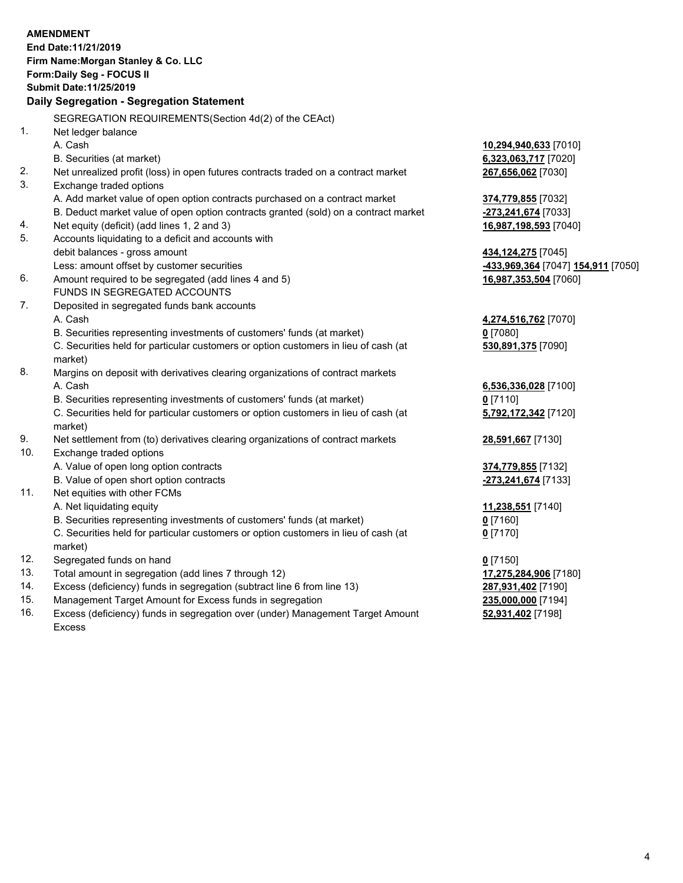#### **AMENDMENT**

**End Date:11/21/2019 Firm Name:Morgan Stanley & Co. LLC Form:Daily Seg - FOCUS II Submit Date:11/25/2019**

#### **Daily Segregation - Segregation Statement**

SEGREGATION REQUIREMENTS(Section 4d(2) of the CEAct)

- 1. Net ledger balance
	-
	- B. Securities (at market) **6,323,063,717** [7020]
- 2. Net unrealized profit (loss) in open futures contracts traded on a contract market **267,656,062** [7030]
- 3. Exchange traded options A. Add market value of open option contracts purchased on a contract market **374,779,855** [7032]
	- B. Deduct market value of open option contracts granted (sold) on a contract market **-273,241,674** [7033]
- 4. Net equity (deficit) (add lines 1, 2 and 3) **16,987,198,593** [7040]
- 5. Accounts liquidating to a deficit and accounts with debit balances - gross amount **434,124,275** [7045]
	-
- 6. Amount required to be segregated (add lines 4 and 5) **16,987,353,504** [7060] FUNDS IN SEGREGATED ACCOUNTS
- 7. Deposited in segregated funds bank accounts A. Cash **4,274,516,762** [7070]
	- B. Securities representing investments of customers' funds (at market) **0** [7080]

C. Securities held for particular customers or option customers in lieu of cash (at market)

- 8. Margins on deposit with derivatives clearing organizations of contract markets A. Cash **6,536,336,028** [7100]
	- B. Securities representing investments of customers' funds (at market) **0** [7110]

C. Securities held for particular customers or option customers in lieu of cash (at market)

- 9. Net settlement from (to) derivatives clearing organizations of contract markets **28,591,667** [7130]
- 10. Exchange traded options
	- A. Value of open long option contracts **374,779,855** [7132]
	- B. Value of open short option contracts **-273,241,674** [7133]
- 11. Net equities with other FCMs
	- A. Net liquidating equity **11,238,551** [7140]
	- B. Securities representing investments of customers' funds (at market) **0** [7160]

C. Securities held for particular customers or option customers in lieu of cash (at market)

- 12. Segregated funds on hand **0** [7150]
- 13. Total amount in segregation (add lines 7 through 12) **17,275,284,906** [7180]
- 14. Excess (deficiency) funds in segregation (subtract line 6 from line 13) **287,931,402** [7190]
- 15. Management Target Amount for Excess funds in segregation **235,000,000** [7194]
- 16. Excess (deficiency) funds in segregation over (under) Management Target Amount Excess

# A. Cash **10,294,940,633** [7010]

Less: amount offset by customer securities **-433,969,364** [7047] **154,911** [7050]

**530,891,375** [7090]

**5,792,172,342** [7120]

**0** [7170]

**52,931,402** [7198]